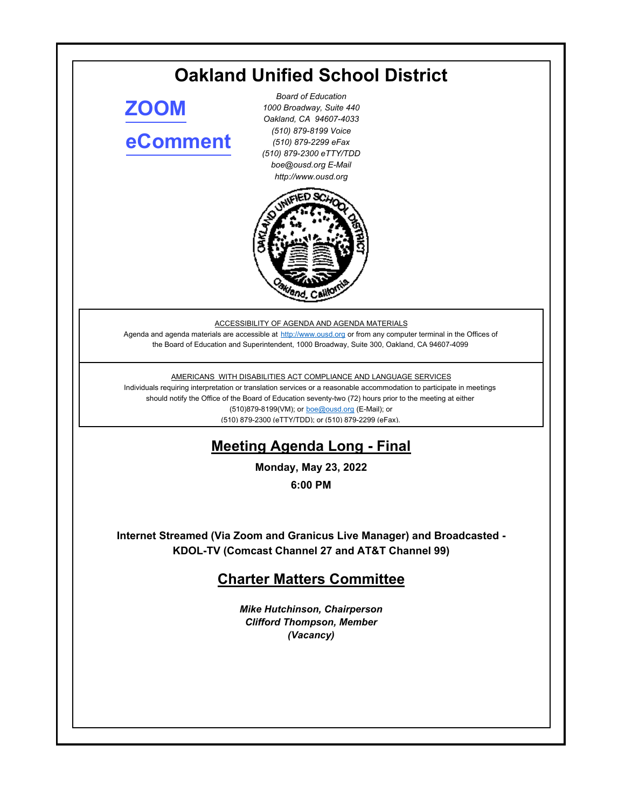# **Oakland Unified School District**

**[ZOOM](https://ousd.zoom.us/j/87597466336) [eComment](https://ousd.granicusideas.com/meetings/2342-charter-matters-committee-on-2022-05-23-6-00-pm)**

*Board of Education 1000 Broadway, Suite 440 Oakland, CA 94607-4033 (510) 879-8199 Voice (510) 879-2299 eFax (510) 879-2300 eTTY/TDD boe@ousd.org E-Mail http://www.ousd.org*



ACCESSIBILITY OF AGENDA AND AGENDA MATERIALS

Agenda and agenda materials are accessible at http://www.ousd.org or from any computer terminal in the Offices of the Board of Education and Superintendent, 1000 Broadway, Suite 300, Oakland, CA 94607-4099

AMERICANS WITH DISABILITIES ACT COMPLIANCE AND LANGUAGE SERVICES

Individuals requiring interpretation or translation services or a reasonable accommodation to participate in meetings should notify the Office of the Board of Education seventy-two (72) hours prior to the meeting at either (510)879-8199(VM); or boe@ousd.org (E-Mail); or (510) 879-2300 (eTTY/TDD); or (510) 879-2299 (eFax).

# **Meeting Agenda Long - Final**

**Monday, May 23, 2022**

**6:00 PM**

**Internet Streamed (Via Zoom and Granicus Live Manager) and Broadcasted - KDOL-TV (Comcast Channel 27 and AT&T Channel 99)**

# **Charter Matters Committee**

*Mike Hutchinson, Chairperson Clifford Thompson, Member (Vacancy)*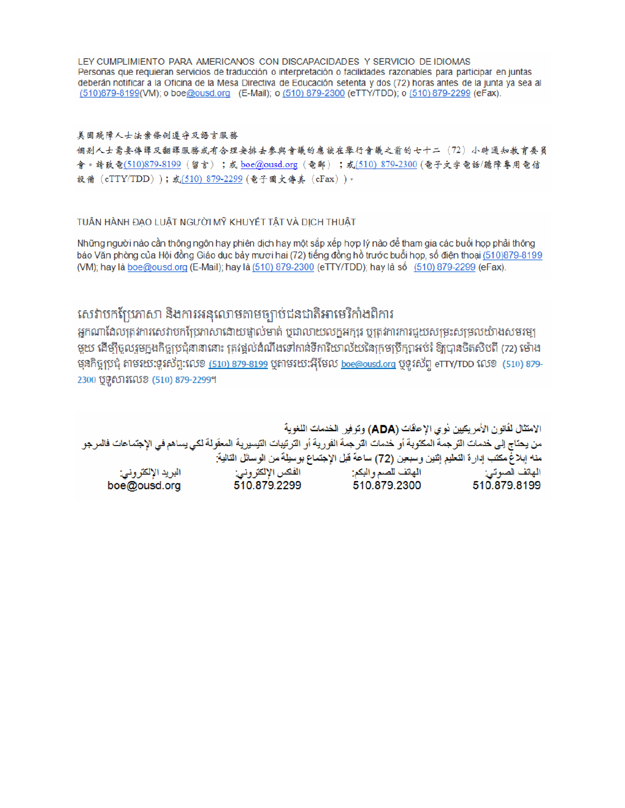LEY CUMPLIMIENTO PARA AMERICANOS CON DISCAPACIDADES Y SERVICIO DE IDIOMAS Personas que requieran servicios de traducción o interpretación o facilidades razonables para participar en juntas deberán notificar a la Oficina de la Mesa Directiva de Educación setenta y dos (72) horas antes de la junta ya sea al (510)879-8199(VM); o boe@ousd.org (E-Mail); o (510) 879-2300 (eTTY/TDD); o (510) 879-2299 (eFax).

### 美国残障人士法案條例遵守及語言服務

個别人士需要傳譯及翻譯服務或有合理安排去參與會議的應該在舉行會議之前的七十二(72)小時通知教育委員 會。請致電(510)879-8199(留言);或 boe@ousd.org (電郵) ;或(510) 879-2300 (電子文字電話/聽障專用電信 設備 (eTTY/TDD));或(510) 879-2299 (電子圖文傳真 (eFax))。

### TUẦN HÀNH ĐẠO LUẬT NGƯỜI MỸ KHUYẾT TẤT VÀ DỊCH THUẬT

Những người nào cần thông ngôn hay phiên dịch hay một sắp xếp hợp lý nào để tham gia các buổi họp phải thông báo Văn phòng của Hội đồng Giáo dục bảy mươi hai (72) tiếng đồng hồ trước buổi họp, số điện thoại (510)879-8199 (VM); hay là boe@ousd.org (E-Mail); hay là (510) 879-2300 (eTTY/TDD); hay là số (510) 879-2299 (eFax).

# សេវាបកប្រែភាសា និងការអនុលោមតាមច្បាប់ជនជាតិអាមេរិកាំងពិការ

អកណាដែលត្រូវការសេវាបកប្រែភាសាដោយផ្ទាល់មាត់ ឬជាលាយលក្ខអក្សរ ឬត្រូវការការជួយសម្រះសម្រលយ៉ាងសមរម្យ មួយ ដើម្បីចូលរួមក្នុងកិច្ចប្រជុំនានានោះ ត្រវង្គល់ដំណឹងទៅកាន់ទីការិយាល័យនៃក្រមប្រឹក្សាអប់រំ ឱ្យបានចិតសិបពី (72) ម៉ោង មុនកិច្ចប្រជុំ តាមរយៈទូរស័ព្ទ:លេខ <u>(510) 879-8199</u> បុតាមរយៈអ៊ីមែល <u>boe@ousd.org</u> បុទូរស័ព្ទ eTTY/TDD លេខ (510) 879-2300 ប៊ូទូសារលេខ (510) 879-2299។

الامتثال لقانون الأمريكيين نو ي الإحاقات (ADA) وتوفير الخدمات اللغوية من يحتاج إلى خدمات الترجمة المكتوبة أو خدمات الترجمة الفورية أو الترتيبات التيسيرية المعفّولة لكي يساهم في الإجتماعات فالمرجو منه إبلاغ مكتب إدارة التعليم إثنين وسبعين (72) ساعة قبل الإجتماع بوسيلة من الوسائل التالية: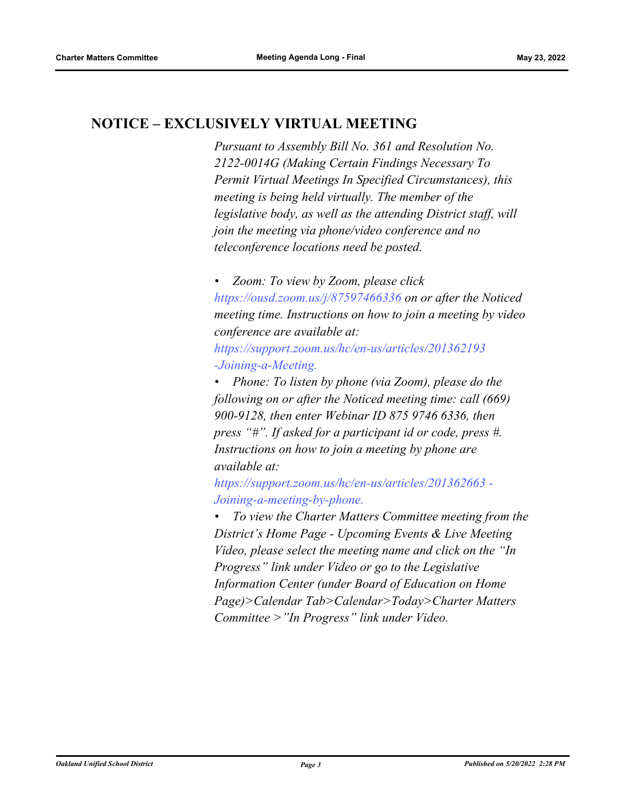# **NOTICE – EXCLUSIVELY VIRTUAL MEETING**

*Pursuant to Assembly Bill No. 361 and Resolution No. 2122-0014G (Making Certain Findings Necessary To Permit Virtual Meetings In Specified Circumstances), this meeting is being held virtually. The member of the legislative body, as well as the attending District staff, will join the meeting via phone/video conference and no teleconference locations need be posted.* 

*• Zoom: To view by Zoom, please click https://ousd.zoom.us/j/87597466336 on or after the Noticed meeting time. Instructions on how to join a meeting by video conference are available at:*

*https://support.zoom.us/hc/en-us/articles/201362193 -Joining-a-Meeting.*

*• Phone: To listen by phone (via Zoom), please do the following on or after the Noticed meeting time: call (669) 900-9128, then enter Webinar ID 875 9746 6336, then press "#". If asked for a participant id or code, press #. Instructions on how to join a meeting by phone are available at:*

*https://support.zoom.us/hc/en-us/articles/201362663 - Joining-a-meeting-by-phone.*

*• To view the Charter Matters Committee meeting from the District's Home Page - Upcoming Events & Live Meeting Video, please select the meeting name and click on the "In Progress" link under Video or go to the Legislative Information Center (under Board of Education on Home Page)>Calendar Tab>Calendar>Today>Charter Matters Committee >"In Progress" link under Video.*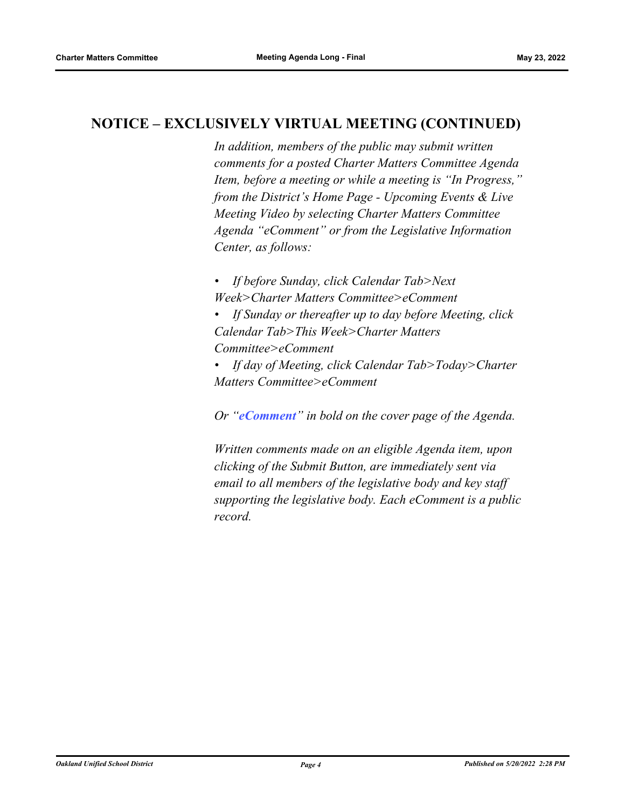# **NOTICE – EXCLUSIVELY VIRTUAL MEETING (CONTINUED)**

*In addition, members of the public may submit written comments for a posted Charter Matters Committee Agenda Item, before a meeting or while a meeting is "In Progress," from the District's Home Page - Upcoming Events & Live Meeting Video by selecting Charter Matters Committee Agenda "eComment" or from the Legislative Information Center, as follows:*

*• If before Sunday, click Calendar Tab>Next Week>Charter Matters Committee>eComment*

*• If Sunday or thereafter up to day before Meeting, click Calendar Tab>This Week>Charter Matters Committee>eComment*

*• If day of Meeting, click Calendar Tab>Today>Charter Matters Committee>eComment*

*Or "eComment" in bold on the cover page of the Agenda.* 

*Written comments made on an eligible Agenda item, upon clicking of the Submit Button, are immediately sent via email to all members of the legislative body and key staff supporting the legislative body. Each eComment is a public record.*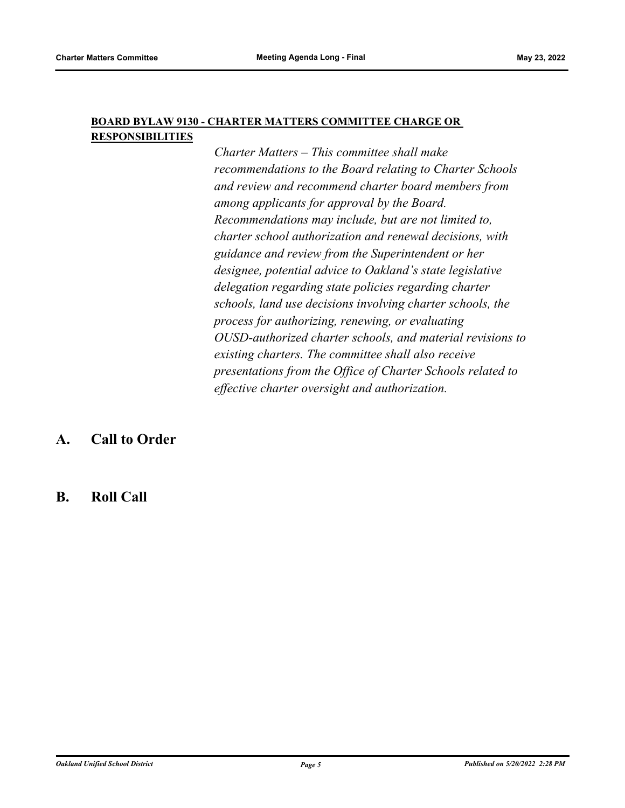### **BOARD BYLAW 9130 - CHARTER MATTERS COMMITTEE CHARGE OR RESPONSIBILITIES**

*Charter Matters – This committee shall make recommendations to the Board relating to Charter Schools and review and recommend charter board members from among applicants for approval by the Board. Recommendations may include, but are not limited to, charter school authorization and renewal decisions, with guidance and review from the Superintendent or her designee, potential advice to Oakland's state legislative delegation regarding state policies regarding charter schools, land use decisions involving charter schools, the process for authorizing, renewing, or evaluating OUSD-authorized charter schools, and material revisions to existing charters. The committee shall also receive presentations from the Office of Charter Schools related to effective charter oversight and authorization.*

# **A. Call to Order**

### **B. Roll Call**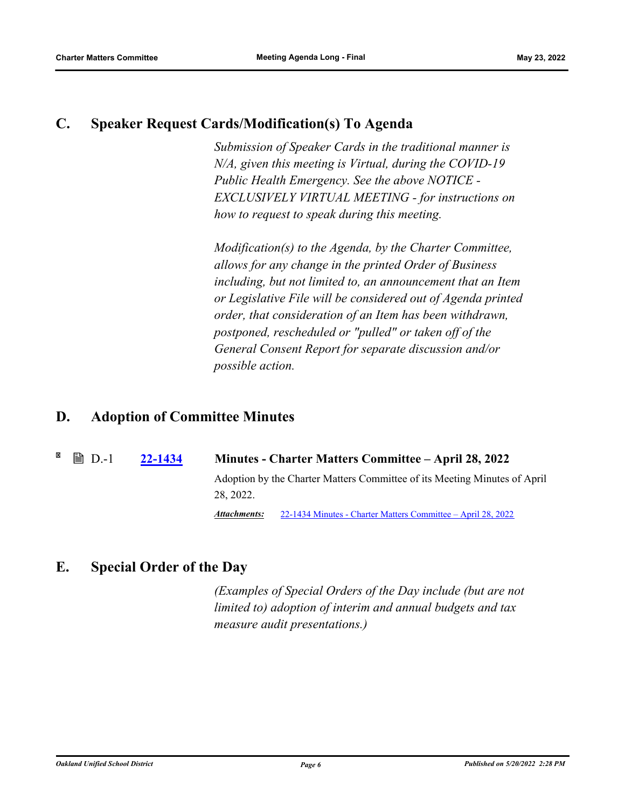### **C. Speaker Request Cards/Modification(s) To Agenda**

*Submission of Speaker Cards in the traditional manner is N/A, given this meeting is Virtual, during the COVID-19 Public Health Emergency. See the above NOTICE - EXCLUSIVELY VIRTUAL MEETING - for instructions on how to request to speak during this meeting.*

*Modification(s) to the Agenda, by the Charter Committee, allows for any change in the printed Order of Business including, but not limited to, an announcement that an Item or Legislative File will be considered out of Agenda printed order, that consideration of an Item has been withdrawn, postponed, rescheduled or "pulled" or taken off of the General Consent Report for separate discussion and/or possible action.*

# **D. Adoption of Committee Minutes**

D.-1 **[22-1434](http://ousd.legistar.com/gateway.aspx?m=l&id=/matter.aspx?key=55728) Minutes - Charter Matters Committee – April 28, 2022** Adoption by the Charter Matters Committee of its Meeting Minutes of April 28, 2022. *Attachments:* [22-1434 Minutes - Charter Matters Committee – April 28, 2022](https://ousd.legistar.com/View.ashx?M=M&ID=958101&GUID=B2D731A6-6533-49D7-BD4B-CC015BFD4DE4)

# **E. Special Order of the Day**

*(Examples of Special Orders of the Day include (but are not limited to) adoption of interim and annual budgets and tax measure audit presentations.)*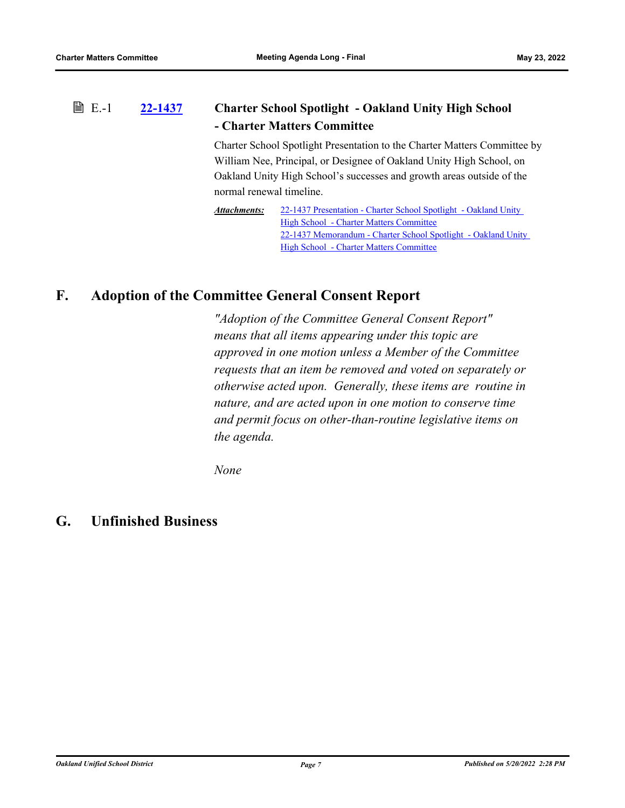### **[22-1437](http://ousd.legistar.com/gateway.aspx?m=l&id=/matter.aspx?key=55731) Charter School Spotlight - Oakland Unity High School - Charter Matters Committee ■ E.-1**

Charter School Spotlight Presentation to the Charter Matters Committee by William Nee, Principal, or Designee of Oakland Unity High School, on Oakland Unity High School's successes and growth areas outside of the normal renewal timeline.

[22-1437 Presentation - Charter School Spotlight - Oakland Unity](http://ousd.legistar.com/gateway.aspx?M=F&ID=104604.pptx)  High School - Charter Matters Committee [22-1437 Memorandum - Charter School Spotlight - Oakland Unity](http://ousd.legistar.com/gateway.aspx?M=F&ID=104605.pdf)  High School - Charter Matters Committee *Attachments:*

### **F. Adoption of the Committee General Consent Report**

*"Adoption of the Committee General Consent Report" means that all items appearing under this topic are approved in one motion unless a Member of the Committee requests that an item be removed and voted on separately or otherwise acted upon. Generally, these items are routine in nature, and are acted upon in one motion to conserve time and permit focus on other-than-routine legislative items on the agenda.*

*None*

### **G. Unfinished Business**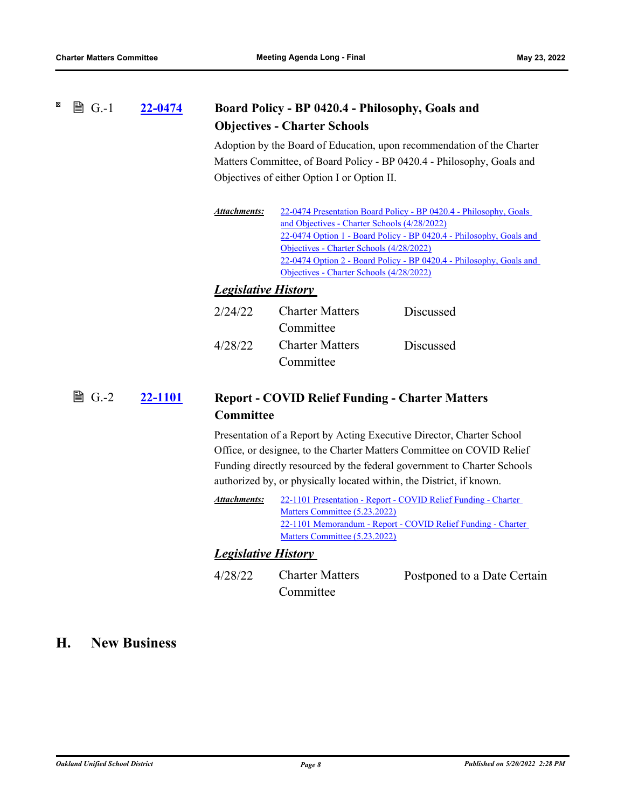#### X **A** G.-1 **[22-0474](http://ousd.legistar.com/gateway.aspx?m=l&id=/matter.aspx?key=54769) Board Policy - BP 0420.4 - Philosophy, Goals and Objectives - Charter Schools**

Adoption by the Board of Education, upon recommendation of the Charter Matters Committee, of Board Policy - BP 0420.4 - Philosophy, Goals and Objectives of either Option I or Option II.

| Attachments: | 22-0474 Presentation Board Policy - BP 0420.4 - Philosophy, Goals   |  |  |
|--------------|---------------------------------------------------------------------|--|--|
|              | and Objectives - Charter Schools (4/28/2022)                        |  |  |
|              | 22-0474 Option 1 - Board Policy - BP 0420.4 - Philosophy, Goals and |  |  |
|              | Objectives - Charter Schools (4/28/2022)                            |  |  |
|              | 22-0474 Option 2 - Board Policy - BP 0420.4 - Philosophy, Goals and |  |  |
|              | Objectives - Charter Schools (4/28/2022)                            |  |  |

### *Legislative History*

| 2/24/22 | <b>Charter Matters</b> | <b>Discussed</b> |
|---------|------------------------|------------------|
|         | Committee              |                  |
| 4/28/22 | <b>Charter Matters</b> | <b>Discussed</b> |
|         | Committee              |                  |

### **[22-1101](http://ousd.legistar.com/gateway.aspx?m=l&id=/matter.aspx?key=55395) Report - COVID Relief Funding - Charter Matters Committee ■ G.-2**

Presentation of a Report by Acting Executive Director, Charter School Office, or designee, to the Charter Matters Committee on COVID Relief Funding directly resourced by the federal government to Charter Schools authorized by, or physically located within, the District, if known.

| Attachments: | 22-1101 Presentation - Report - COVID Relief Funding - Charter |  |  |
|--------------|----------------------------------------------------------------|--|--|
|              | Matters Committee (5.23.2022)                                  |  |  |
|              | 22-1101 Memorandum - Report - COVID Relief Funding - Charter   |  |  |
|              | Matters Committee (5.23.2022)                                  |  |  |

### *Legislative History*

4/28/22 Charter Matters Committee Postponed to a Date Certain

### **H. New Business**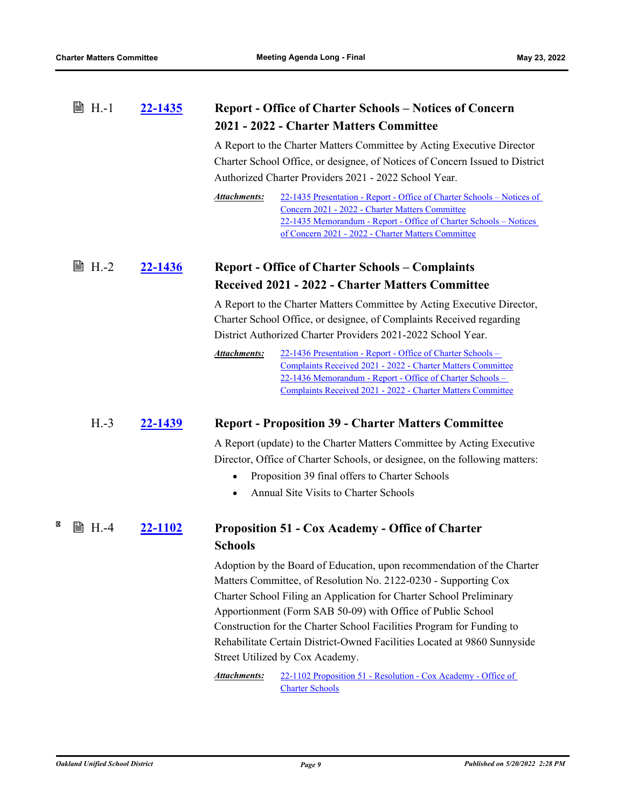| ■ H.-1 | 22-1435 | <b>Report - Office of Charter Schools – Notices of Concern</b> |
|--------|---------|----------------------------------------------------------------|
|        |         | 2021 - 2022 - Charter Matters Committee                        |

A Report to the Charter Matters Committee by Acting Executive Director Charter School Office, or designee, of Notices of Concern Issued to District Authorized Charter Providers 2021 - 2022 School Year.

[22-1435 Presentation - Report - Office of Charter Schools – Notices of](http://ousd.legistar.com/gateway.aspx?M=F&ID=104600.pptx)  Concern 2021 - 2022 - Charter Matters Committee [22-1435 Memorandum - Report - Office of Charter Schools – Notices](http://ousd.legistar.com/gateway.aspx?M=F&ID=104601.pdf)  of Concern 2021 - 2022 - Charter Matters Committee *Attachments:*

#### **[22-1436](http://ousd.legistar.com/gateway.aspx?m=l&id=/matter.aspx?key=55730) Report - Office of Charter Schools – Complaints Received 2021 - 2022 - Charter Matters Committee**  $\mathbb{B}$  H.-2

A Report to the Charter Matters Committee by Acting Executive Director, Charter School Office, or designee, of Complaints Received regarding District Authorized Charter Providers 2021-2022 School Year.

22-1436 Presentation - Report - Office of Charter Schools – [Complaints Received 2021 - 2022 - Charter Matters Committee](http://ousd.legistar.com/gateway.aspx?M=F&ID=104602.pptx) 22-1436 Memorandum - Report - Office of Charter Schools – [Complaints Received 2021 - 2022 - Charter Matters Committee](http://ousd.legistar.com/gateway.aspx?M=F&ID=104603.pdf) *Attachments:*

### H.-3 **[22-1439](http://ousd.legistar.com/gateway.aspx?m=l&id=/matter.aspx?key=55733) Report - Proposition 39 - Charter Matters Committee**

A Report (update) to the Charter Matters Committee by Acting Executive Director, Office of Charter Schools, or designee, on the following matters:

- Proposition 39 final offers to Charter Schools
- · Annual Site Visits to Charter Schools

#### × **■ H.-4 [22-1102](http://ousd.legistar.com/gateway.aspx?m=l&id=/matter.aspx?key=55396) Proposition 51 - Cox Academy - Office of Charter Schools**

Adoption by the Board of Education, upon recommendation of the Charter Matters Committee, of Resolution No. 2122-0230 - Supporting Cox Charter School Filing an Application for Charter School Preliminary Apportionment (Form SAB 50-09) with Office of Public School Construction for the Charter School Facilities Program for Funding to Rehabilitate Certain District-Owned Facilities Located at 9860 Sunnyside Street Utilized by Cox Academy.

[22-1102 Proposition 51 - Resolution - Cox Academy - Office of](http://ousd.legistar.com/gateway.aspx?M=F&ID=104609.pdf)  Charter Schools *Attachments:*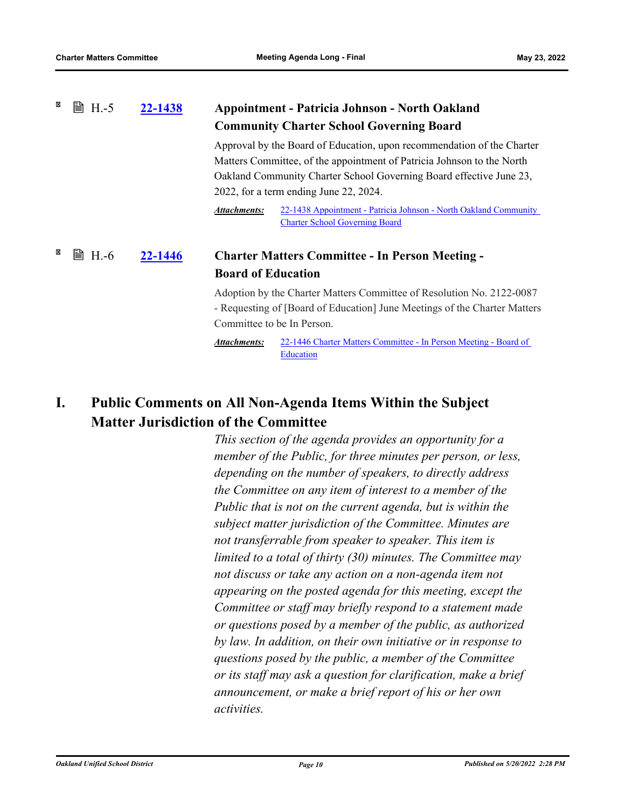#### × **■ H.-5 [22-1438](http://ousd.legistar.com/gateway.aspx?m=l&id=/matter.aspx?key=55732) Appointment - Patricia Johnson - North Oakland Community Charter School Governing Board**

Approval by the Board of Education, upon recommendation of the Charter Matters Committee, of the appointment of Patricia Johnson to the North Oakland Community Charter School Governing Board effective June 23, 2022, for a term ending June 22, 2024.

[22-1438 Appointment - Patricia Johnson - North Oakland Community](http://ousd.legistar.com/gateway.aspx?M=F&ID=104619.pdf)  Charter School Governing Board *Attachments:*

### **[22-1446](http://ousd.legistar.com/gateway.aspx?m=l&id=/matter.aspx?key=55740) Charter Matters Committee - In Person Meeting - Board of Education A.H.**-6

Adoption by the Charter Matters Committee of Resolution No. 2122-0087 - Requesting of [Board of Education] June Meetings of the Charter Matters Committee to be In Person.

[22-1446 Charter Matters Committee - In Person Meeting - Board of](http://ousd.legistar.com/gateway.aspx?M=F&ID=104627.pdf)  Education *Attachments:*

# **I. Public Comments on All Non-Agenda Items Within the Subject Matter Jurisdiction of the Committee**

*This section of the agenda provides an opportunity for a member of the Public, for three minutes per person, or less, depending on the number of speakers, to directly address the Committee on any item of interest to a member of the Public that is not on the current agenda, but is within the subject matter jurisdiction of the Committee. Minutes are not transferrable from speaker to speaker. This item is limited to a total of thirty (30) minutes. The Committee may not discuss or take any action on a non-agenda item not appearing on the posted agenda for this meeting, except the Committee or staff may briefly respond to a statement made or questions posed by a member of the public, as authorized by law. In addition, on their own initiative or in response to questions posed by the public, a member of the Committee or its staff may ask a question for clarification, make a brief announcement, or make a brief report of his or her own activities.*